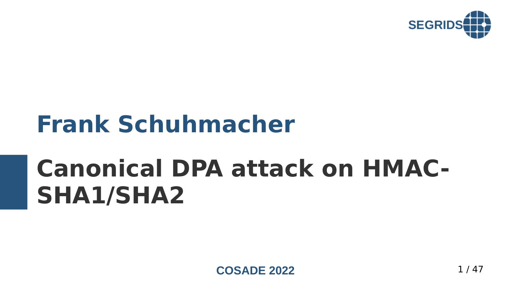

# **Frank Schuhmacher**

# **Canonical DPA attack on HMAC-SHA1/SHA2**

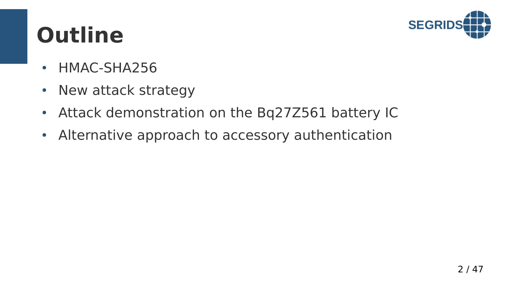

# **Outline**

- HMAC-SHA256
- New attack strategy
- Attack demonstration on the Bq27Z561 battery IC
- Alternative approach to accessory authentication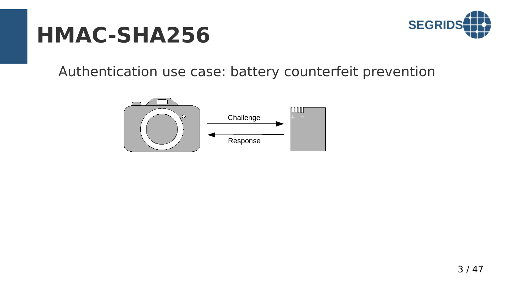

Authentication use case: battery counterfeit prevention

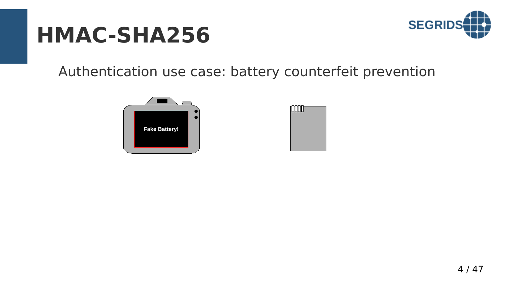

Authentication use case: battery counterfeit prevention



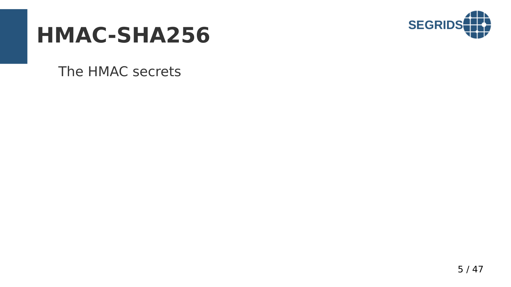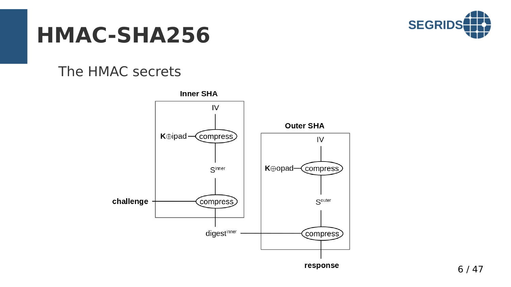

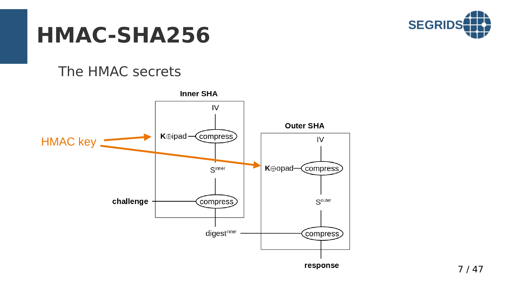

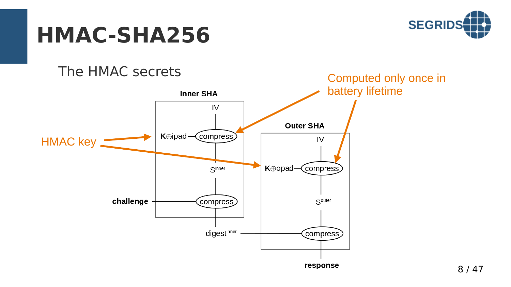

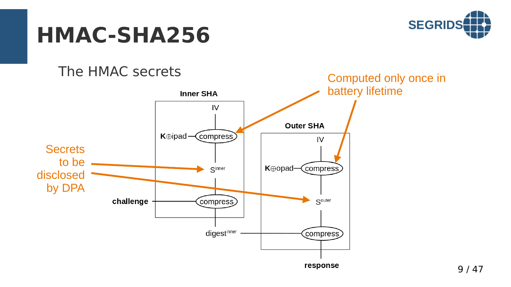

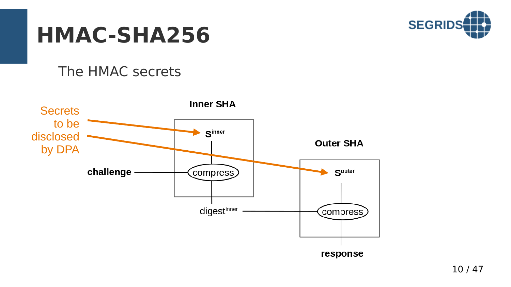

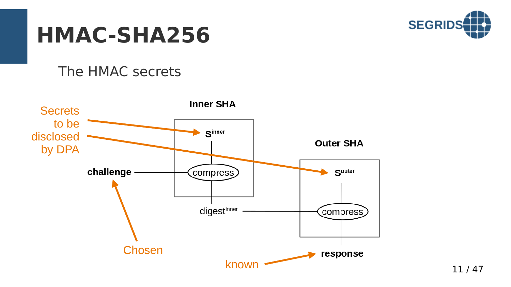

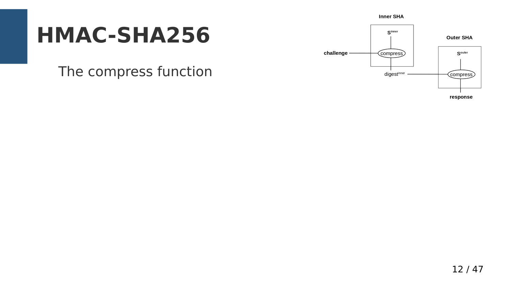## **HMAC-SHA256**

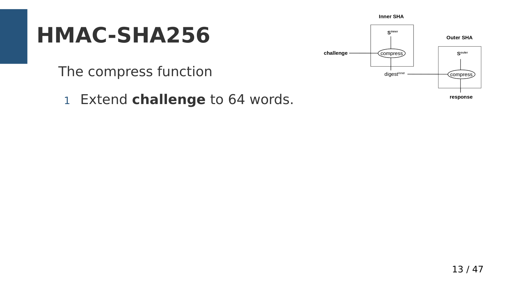## **HMAC-SHA256**

The compress function

1 Extend **challenge** to 64 words.

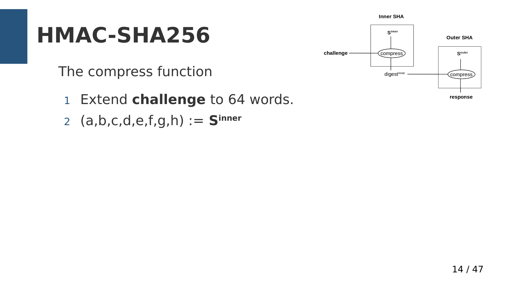## **HMAC-SHA256**

- 1 Extend **challenge** to 64 words.
- 2 (a,b,c,d,e,f,g,h) := **Sinner**

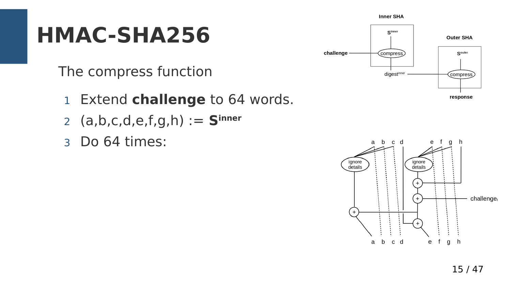## **HMAC-SHA256**

- 1 Extend **challenge** to 64 words.
- 2 (a,b,c,d,e,f,g,h) := **Sinner**
- 3 Do 64 times:



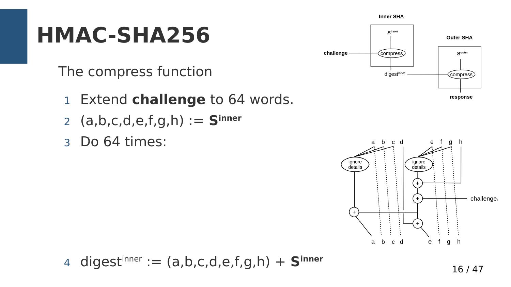## **HMAC-SHA256**

- 1 Extend **challenge** to 64 words.
- 2 (a,b,c,d,e,f,g,h) := **Sinner**
- 3 Do 64 times:





$$
4 \ \text{digest}^{\text{inner}} := (a, b, c, d, e, f, g, h) + \mathbf{S}^{\text{inner}}
$$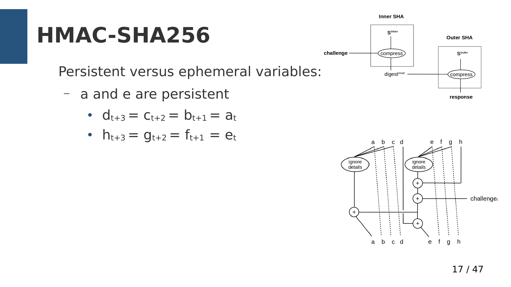Persistent versus ephemeral variables:

- a and e are persistent
	- $d_{t+3} = c_{t+2} = b_{t+1} = a_t$
	- $h_{t+3} = g_{t+2} = f_{t+1} = e_t$



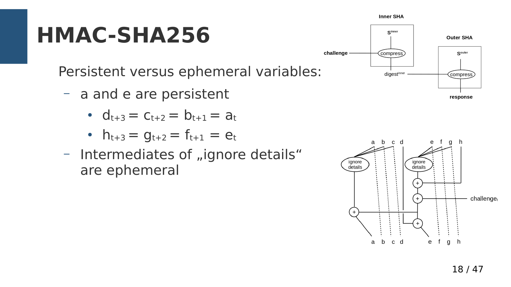Persistent versus ephemeral variables:

- a and e are persistent
	- $d_{t+3} = c_{t+2} = b_{t+1} = a_t$
	- $h_{t+3} = g_{t+2} = f_{t+1} = e_t$
- Intermediates of "ignore details" are ephemeral



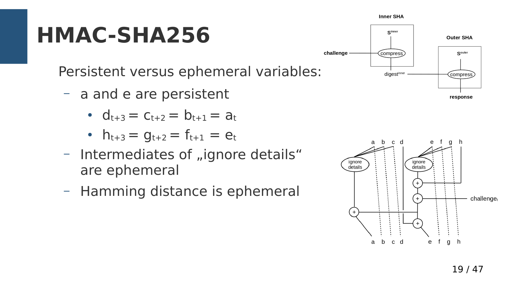Persistent versus ephemeral variables:

- a and e are persistent
	- $d_{t+3} = c_{t+2} = b_{t+1} = a_t$
	- $h_{t+3} = g_{t+2} = f_{t+1} = e_t$
- Intermediates of "ignore details" are ephemeral
- Hamming distance is ephemeral



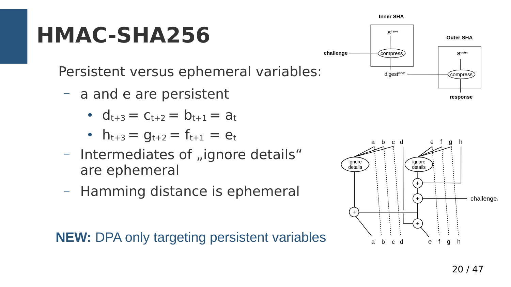Persistent versus ephemeral variables:

- a and e are persistent
	- $d_{t+3} = c_{t+2} = b_{t+1} = a_t$
	- $h_{t+3} = g_{t+2} = f_{t+1} = e_t$
- Intermediates of "ignore details" are ephemeral
- Hamming distance is ephemeral

**NEW:** DPA only targeting persistent variables



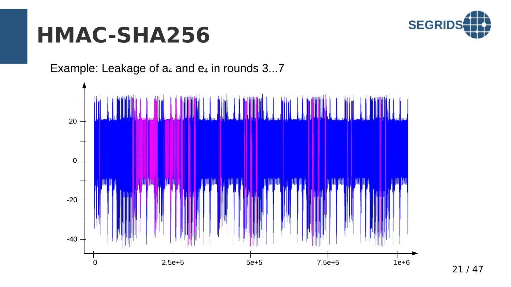

Example: Leakage of  $a_4$  and  $e_4$  in rounds 3...7

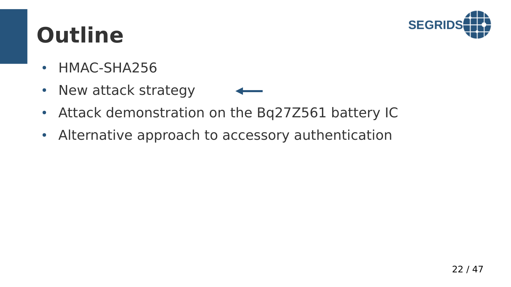

# **Outline**

- HMAC-SHA256
- New attack strategy
- Attack demonstration on the Bq27Z561 battery IC
- Alternative approach to accessory authentication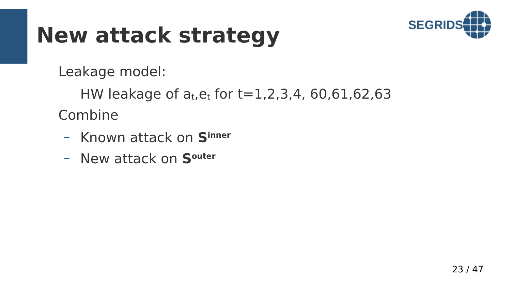

Leakage model:

HW leakage of  $a_t$ ,  $e_t$  for t=1,2,3,4, 60,61,62,63 Combine

- Known attack on **Sinner**
- New attack on **Souter**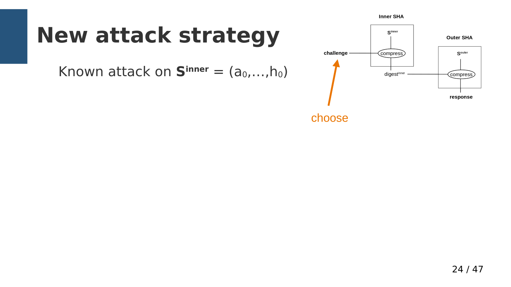### **New attack strategy**

Known attack on  $S^{inner} = (a_0, ..., h_0)$ 



choose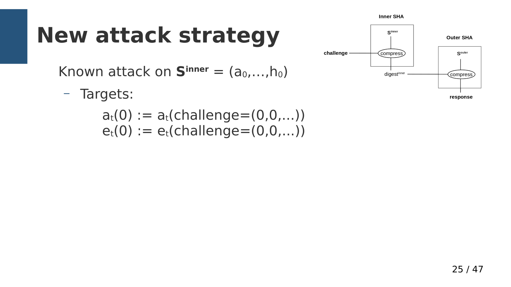# **New attack strategy**

Known attack on  $S^{inner} = (a_0, \ldots, h_0)$ 

– Targets:

 $a_t(0) := a_t$ (challenge=(0,0,...))  $e_t(0) := e_t$ (challenge=(0,0,...))

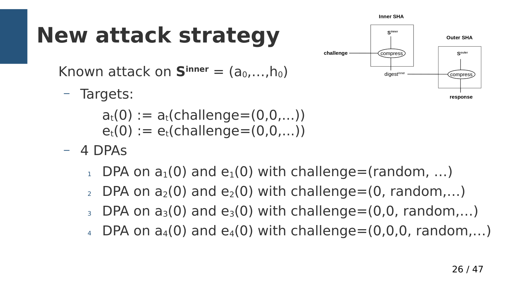# **New attack strategy**

Known attack on  $S^{inner} = (a_0, \ldots, b_0)$ 

– Targets:

 $a_t(0) := a_t$ (challenge=(0,0,...))  $e_t(0) := e_t$ (challenge=(0,0,...))

- 4 DPAs
	- DPA on  $a_1(0)$  and  $e_1(0)$  with challenge=(random, ...)
	- DPA on  $a_2(0)$  and  $e_2(0)$  with challenge=(0, random,...)
	- $_3$  DPA on  $a_3(0)$  and  $e_3(0)$  with challenge=(0,0, random,...)
	- $_4$  DPA on  $a_4(0)$  and  $e_4(0)$  with challenge=(0,0,0, random,...)

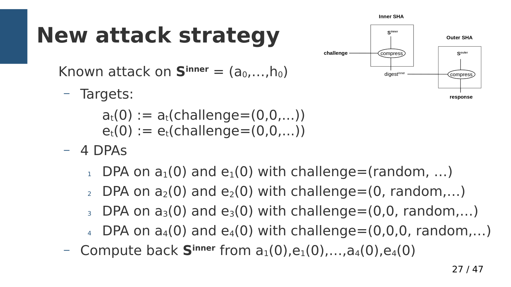# **New attack strategy**

Known attack on  $S^{inner} = (a_0, \ldots, b_0)$ 

– Targets:

 $a_t(0) := a_t$ (challenge= $(0,0,...)$ )  $e_t(0) := e_t$ (challenge=(0,0,...))

- 4 DPAs
	- $_1$  DPA on  $a_1(0)$  and  $e_1(0)$  with challenge=(random, ...)
	- $2$  DPA on  $a_2(0)$  and  $e_2(0)$  with challenge=(0, random,...)
	- $_3$  DPA on  $a_3(0)$  and  $e_3(0)$  with challenge=(0,0, random,...)
	- $_4$  DPA on  $a_4(0)$  and  $e_4(0)$  with challenge=(0,0,0, random,...)
- Compute back  $S^{inner}$  from  $a_1(0), e_1(0), \ldots, a_4(0), e_4(0)$

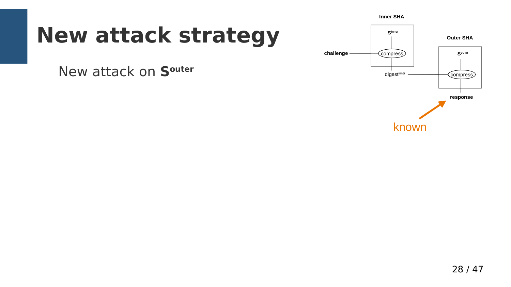## **New attack strategy**

New attack on **Souter**

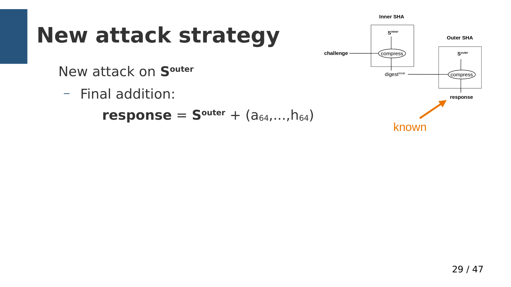# **New attack strategy**

New attack on **Souter**

– Final addition:

**response** =  $S^{outer} + (a_{64},...,h_{64})$ 

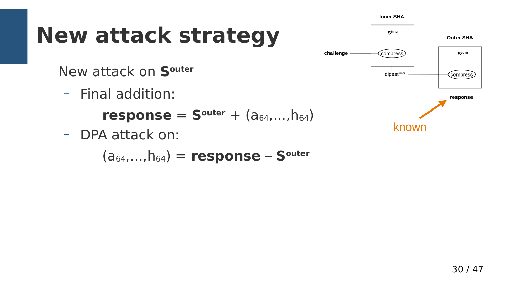# **New attack strategy**

New attack on **Souter**

– Final addition:

**response** =  $S^{outer} + (a_{64},...,h_{64})$ 

– DPA attack on:

(a64,...,h64) = **response** – **Souter**

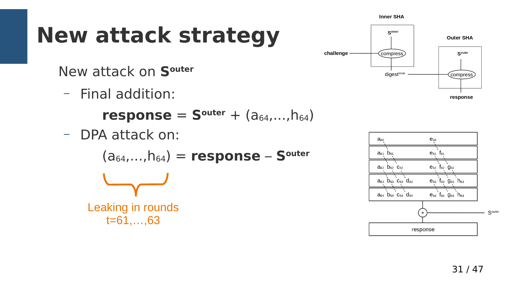# **New attack strategy**

New attack on **Souter**

– Final addition:

**response** =  $S^{outer} + (a_{64},...,h_{64})$ 

– DPA attack on:

(a64,...,h64) = **response** – **Souter**

Leaking in rounds t=61,…,63



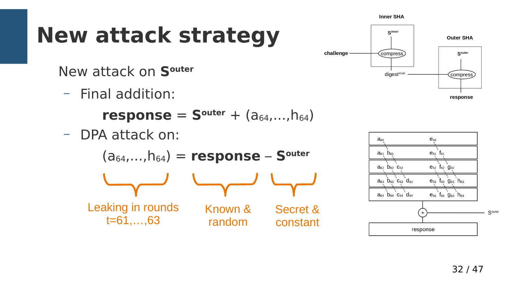# **New attack strategy**

New attack on **Souter**

– Final addition:

**response** =  $S^{outer} + (a_{64},...,h_{64})$ 

– DPA attack on:

(a64,...,h64) = **response** – **Souter** Leaking in rounds  $t = 61, \ldots, 63$ Known & random Secret & constant



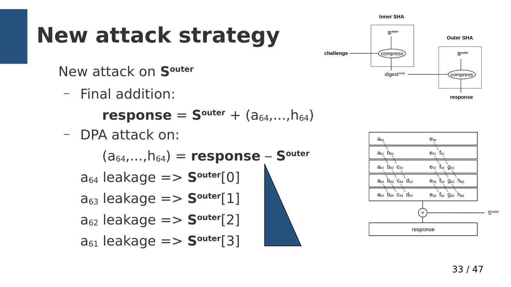# **New attack strategy**

New attack on **Souter**

– Final addition:

**response** =  $S^{outer} + (a_{64},...,h_{64})$ 

– DPA attack on:

 $(a_{64},...,h_{64})$  = **response** – **S**<sup>outer</sup>  $a_{64}$  leakage  $\equiv$  >  $S<sup>outer</sup>[0]$  $a_{63}$  leakage  $\equiv$  >  $S<sup>outer</sup>[1]$  $a_{62}$  leakage  $\equiv$  >  $S<sup>outer</sup>[2]$  $a_{61}$  leakage  $\equiv$  >  $S<sup>outer</sup>[3]$ 



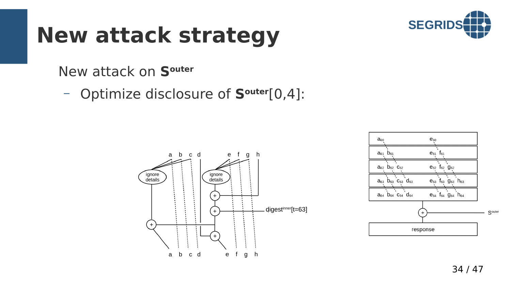

New attack on **Souter**



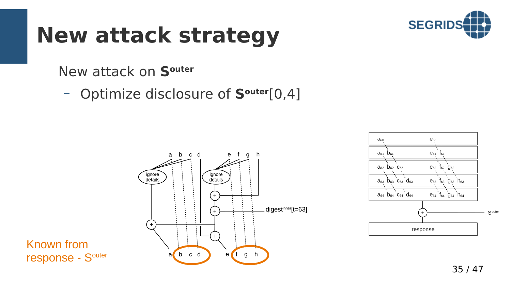

#### New attack on **Souter**



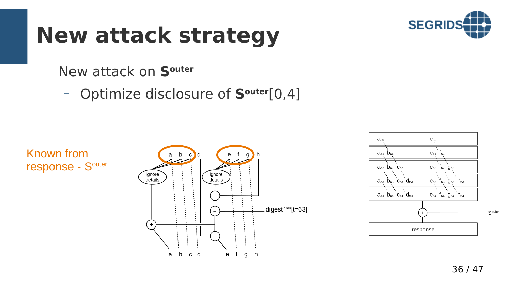

#### New attack on **Souter**





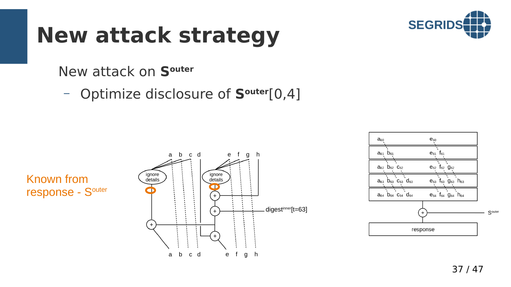

#### New attack on **Souter**





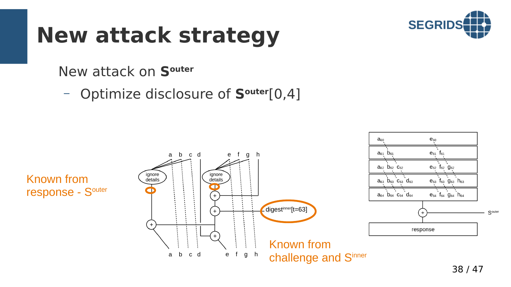

 $e_{60}$ 

 $a_{60}$ 

#### New attack on **Souter**

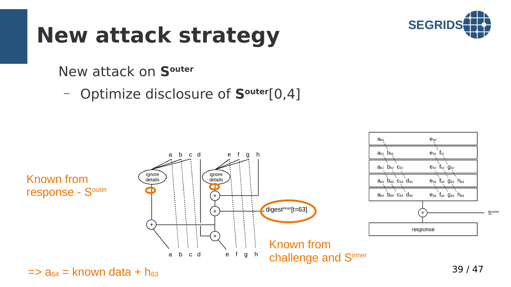

 $e_{60}$ 

 $a_{60}$ 

#### New attack on **Souter**

– Optimize disclosure of **Souter**[0,4]



 $\Rightarrow$  a<sub>64</sub> = known data + h<sub>63</sub>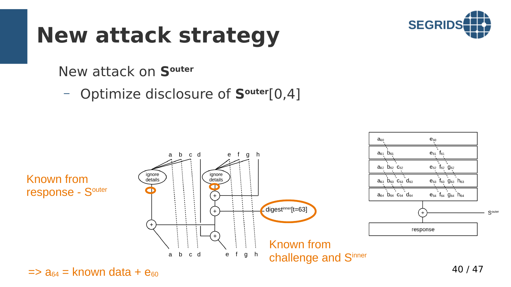

 $e_{60}$ 

 $a_{60}$ 

#### New attack on **Souter**

– Optimize disclosure of **Souter**[0,4]



 $\Rightarrow$  a<sub>64</sub> = known data +  $e_{60}$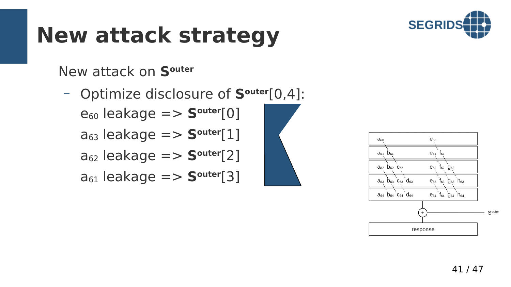

New attack on **Souter**

– Optimize disclosure of **Souter**[0,4]:  $e_{60}$  leakage  $\equiv$  >  $S<sup>outer</sup>[0]$  $a_{63}$  leakage  $\equiv$  >  $S<sup>outer</sup>[1]$  $a_{62}$  leakage  $\equiv$  >  $S<sup>outer</sup>[2]$  $a_{61}$  leakage  $\equiv$  >  $S<sup>outer</sup>[3]$ 

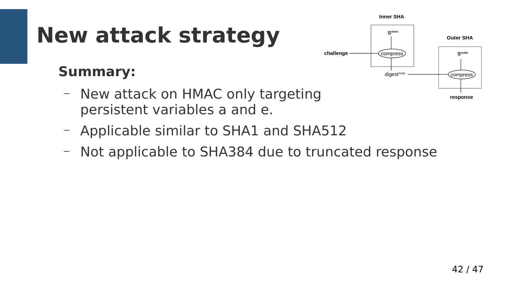$S<sup>inner</sup>$ 

compress

digestinner

challenge

# **New attack strategy**

#### **Summary:**

- New attack on HMAC only targeting persistent variables a and e.
- Applicable similar to SHA1 and SHA512
- Not applicable to SHA384 due to truncated response

**Outer SHA** 

Souter

compress

response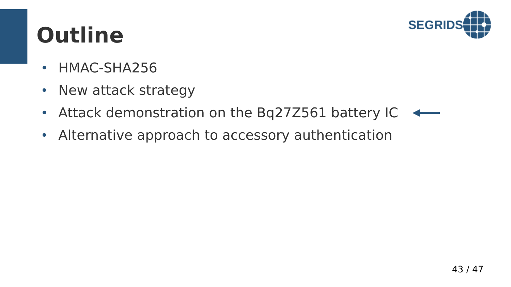

# **Outline**

- HMAC-SHA256
- New attack strategy
- Attack demonstration on the Bq27Z561 battery IC  $\overline{\phantom{0}}$
- Alternative approach to accessory authentication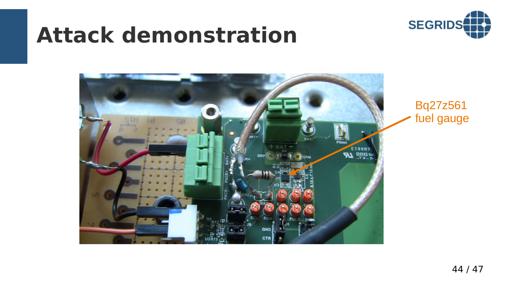### **Attack demonstration**





Bq27z561 fuel gauge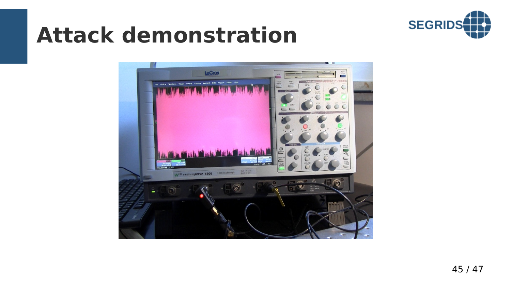

## **Attack demonstration**

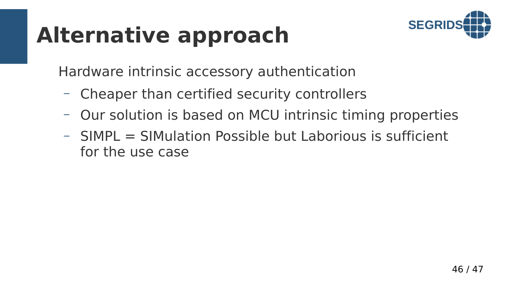# **Alternative approach**



Hardware intrinsic accessory authentication

- Cheaper than certified security controllers
- Our solution is based on MCU intrinsic timing properties
- SIMPL = SIMulation Possible but Laborious is sufficient for the use case